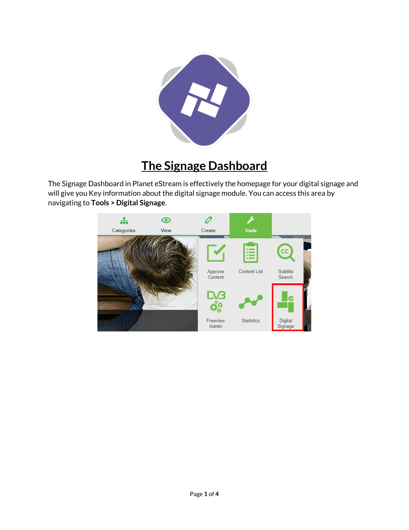

## **The Signage Dashboard**

The Signage Dashboard in Planet eStream is effectively the homepage for your digital signage and will give you Key information about the digital signage module. You can access this area by navigating to **Tools > Digital Signage**.

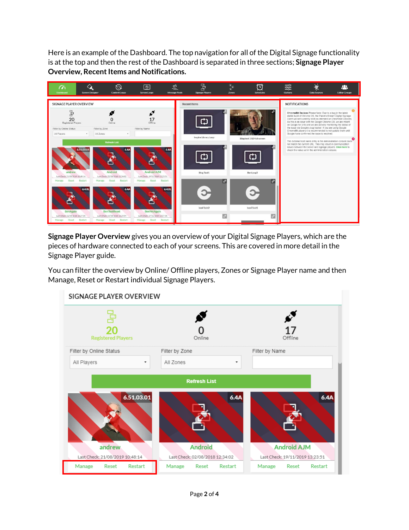Here is an example of the Dashboard. The top navigation for all of the Digital Signage functionality is at the top and then the rest of the Dashboard is separated in three sections; **Signage Player Overview, Recent Items and Notifications.**



**Signage Player Overview** gives you an overview of your Digital Signage Players, which are the pieces of hardware connected to each of your screens. This are covered in more detail in the Signage Player guide.

You can filter the overview by Online/ Offline players, Zones or Signage Player name and then Manage, Reset or Restart individual Signage Players.

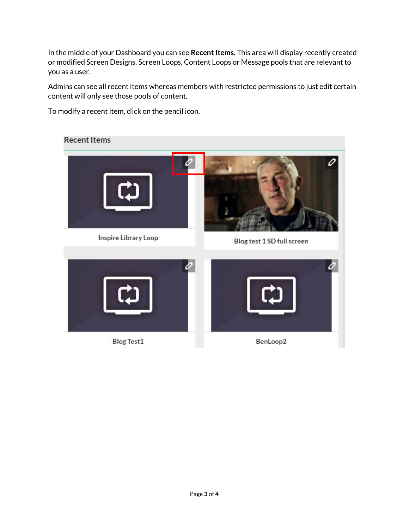In the middle of your Dashboard you can see **Recent Items.** This area will display recently created or modified Screen Designs, Screen Loops, Content Loops or Message pools that are relevant to you as a user.

Admins can see all recent items whereas members with restricted permissions to just edit certain content will only see those pools of content.

To modify a recent item, click on the pencil icon.